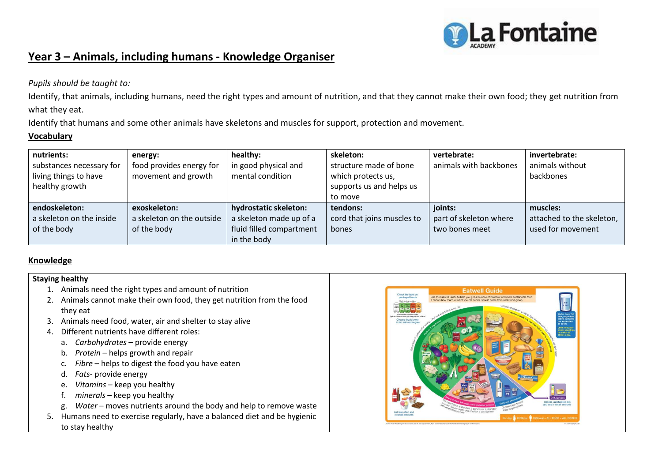

# **Year 3 – Animals, including humans - Knowledge Organiser**

*Pupils should be taught to:*

Identify, that animals, including humans, need the right types and amount of nutrition, and that they cannot make their own food; they get nutrition from what they eat.

Identify that humans and some other animals have skeletons and muscles for support, protection and movement.

### **Vocabulary**

| nutrients:               | energy:                   | healthy:                 | skeleton:                  | vertebrate:            | invertebrate:             |
|--------------------------|---------------------------|--------------------------|----------------------------|------------------------|---------------------------|
| substances necessary for | food provides energy for  | in good physical and     | structure made of bone     | animals with backbones | animals without           |
| living things to have    | movement and growth       | mental condition         | which protects us,         |                        | backbones                 |
| healthy growth           |                           |                          | supports us and helps us   |                        |                           |
|                          |                           |                          | to move                    |                        |                           |
| endoskeleton:            | exoskeleton:              | hydrostatic skeleton:    | tendons:                   | joints:                | muscles:                  |
| a skeleton on the inside | a skeleton on the outside | a skeleton made up of a  | cord that joins muscles to | part of skeleton where | attached to the skeleton, |
| of the body              | of the body               | fluid filled compartment | bones                      | two bones meet         | used for movement         |
|                          |                           | in the body              |                            |                        |                           |

## **Knowledge**

#### **Staying healthy**

- 1. Animals need the right types and amount of nutrition
- 2. Animals cannot make their own food, they get nutrition from the food they eat
- 3. Animals need food, water, air and shelter to stay alive
- 4. Different nutrients have different roles:
	- a. *Carbohydrates* provide energy
	- b. *Protein* helps growth and repair
	- c. *Fibre* helps to digest the food you have eaten
	- d. *Fats* provide energy
	- e. *Vitamins* keep you healthy
	- f. *minerals* keep you healthy
	- g. *Water* moves nutrients around the body and help to remove waste
- 5. Humans need to exercise regularly, have a balanced diet and be hygienic to stay healthy